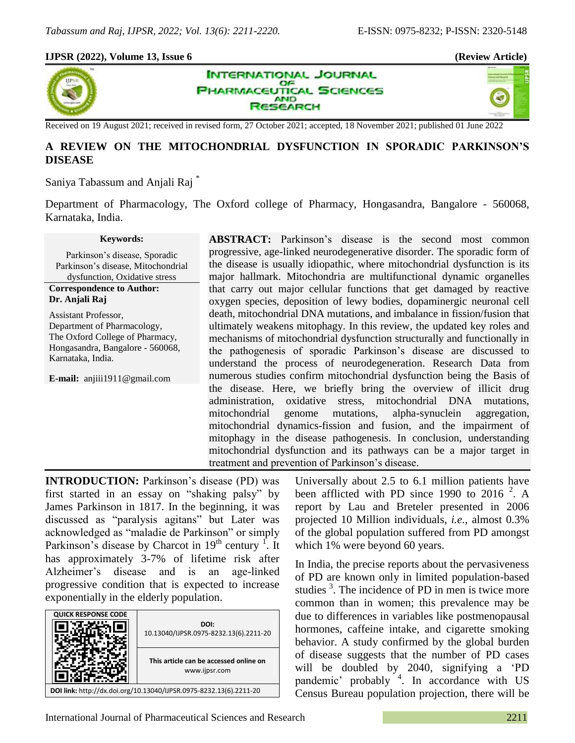### **IJPSR (2022), Volume 13, Issue 6 (Review Article)**



**INTERNATIONAL JOURNAL** OF **PHARMACEUTICAL SCIENCES AND** SEARCH



Received on 19 August 2021; received in revised form, 27 October 2021; accepted, 18 November 2021; published 01 June 2022

# **A REVIEW ON THE MITOCHONDRIAL DYSFUNCTION IN SPORADIC PARKINSON'S DISEASE**

Saniya Tabassum and Anjali Raj \*

Department of Pharmacology, The Oxford college of Pharmacy, Hongasandra, Bangalore - 560068, Karnataka, India.

#### **Keywords:**

Parkinson"s disease, Sporadic Parkinson"s disease, Mitochondrial dysfunction, Oxidative stress **Correspondence to Author: Dr. Anjali Raj**

Assistant Professor, Department of Pharmacology, The Oxford College of Pharmacy, Hongasandra, Bangalore - 560068, Karnataka, India.

**E-mail:** anjiii1911@gmail.com

**ABSTRACT:** Parkinson's disease is the second most common progressive, age-linked neurodegenerative disorder. The sporadic form of the disease is usually idiopathic, where mitochondrial dysfunction is its major hallmark. Mitochondria are multifunctional dynamic organelles that carry out major cellular functions that get damaged by reactive oxygen species, deposition of lewy bodies, dopaminergic neuronal cell death, mitochondrial DNA mutations, and imbalance in fission/fusion that ultimately weakens mitophagy. In this review, the updated key roles and mechanisms of mitochondrial dysfunction structurally and functionally in the pathogenesis of sporadic Parkinson"s disease are discussed to understand the process of neurodegeneration. Research Data from numerous studies confirm mitochondrial dysfunction being the Basis of the disease. Here, we briefly bring the overview of illicit drug administration, oxidative stress, mitochondrial DNA mutations, mitochondrial genome mutations, alpha-synuclein aggregation, mitochondrial dynamics-fission and fusion, and the impairment of mitophagy in the disease pathogenesis. In conclusion, understanding mitochondrial dysfunction and its pathways can be a major target in treatment and prevention of Parkinson"s disease.

**INTRODUCTION:** Parkinson's disease (PD) was first started in an essay on "shaking palsy" by James Parkinson in 1817. In the beginning, it was discussed as "paralysis agitans" but Later was acknowledged as "maladie de Parkinson" or simply Parkinson's disease by Charcot in  $19<sup>th</sup>$  century <sup>1</sup>. It has approximately 3-7% of lifetime risk after Alzheimer"s disease and is an age-linked progressive condition that is expected to increase exponentially in the elderly population.



Universally about 2.5 to 6.1 million patients have been afflicted with PD since 1990 to 2016<sup>2</sup>. A report by Lau and Breteler presented in 2006 projected 10 Million individuals, *i.e.,* almost 0.3% of the global population suffered from PD amongst which 1% were beyond 60 years.

In India, the precise reports about the pervasiveness of PD are known only in limited population-based studies <sup>3</sup>. The incidence of PD in men is twice more common than in women; this prevalence may be due to differences in variables like postmenopausal hormones, caffeine intake, and cigarette smoking behavior. A study confirmed by the global burden of disease suggests that the number of PD cases will be doubled by 2040, signifying a "PD pandemic' probably <sup>4</sup>. In accordance with US Census Bureau population projection, there will be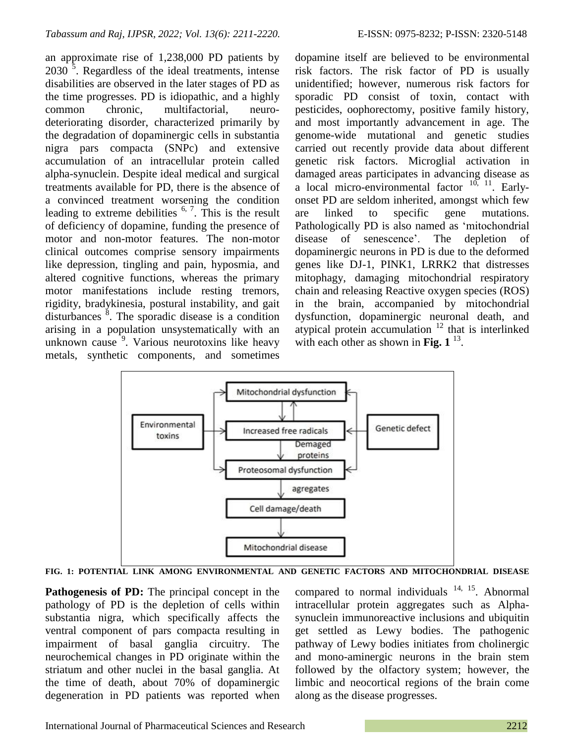an approximate rise of 1,238,000 PD patients by  $2030$ <sup>3</sup>. Regardless of the ideal treatments, intense disabilities are observed in the later stages of PD as the time progresses. PD is idiopathic, and a highly common chronic, multifactorial, neurodeteriorating disorder, characterized primarily by the degradation of dopaminergic cells in substantia nigra pars compacta (SNPc) and extensive accumulation of an intracellular protein called alpha-synuclein. Despite ideal medical and surgical treatments available for PD, there is the absence of a convinced treatment worsening the condition leading to extreme debilities  $6, 7$ . This is the result of deficiency of dopamine, funding the presence of motor and non-motor features. The non-motor clinical outcomes comprise sensory impairments like depression, tingling and pain, hyposmia, and altered cognitive functions, whereas the primary motor manifestations include resting tremors, rigidity, bradykinesia, postural instability, and gait disturbances  $\delta$ . The sporadic disease is a condition arising in a population unsystematically with an unknown cause<sup>5</sup>. Various neurotoxins like heavy metals, synthetic components, and sometimes

dopamine itself are believed to be environmental risk factors. The risk factor of PD is usually unidentified; however, numerous risk factors for sporadic PD consist of toxin, contact with pesticides, oophorectomy, positive family history, and most importantly advancement in age. The genome-wide mutational and genetic studies carried out recently provide data about different genetic risk factors. Microglial activation in damaged areas participates in advancing disease as a local micro-environmental factor  $10, 11$ . Earlyonset PD are seldom inherited, amongst which few are linked to specific gene mutations. Pathologically PD is also named as "mitochondrial disease of senescence'. The depletion of dopaminergic neurons in PD is due to the deformed genes like DJ-1, PINK1, LRRK2 that distresses mitophagy, damaging mitochondrial respiratory chain and releasing Reactive oxygen species (ROS) in the brain, accompanied by mitochondrial dysfunction, dopaminergic neuronal death, and atypical protein accumulation  $12$  that is interlinked with each other as shown in **Fig. 1**<sup>13</sup>.



**FIG. 1: POTENTIAL LINK AMONG ENVIRONMENTAL AND GENETIC FACTORS AND MITOCHONDRIAL DISEASE**

**Pathogenesis of PD:** The principal concept in the pathology of PD is the depletion of cells within substantia nigra, which specifically affects the ventral component of pars compacta resulting in impairment of basal ganglia circuitry. The neurochemical changes in PD originate within the striatum and other nuclei in the basal ganglia. At the time of death, about 70% of dopaminergic degeneration in PD patients was reported when

compared to normal individuals  $14, 15$ . Abnormal intracellular protein aggregates such as Alphasynuclein immunoreactive inclusions and ubiquitin get settled as Lewy bodies. The pathogenic pathway of Lewy bodies initiates from cholinergic and mono-aminergic neurons in the brain stem followed by the olfactory system; however, the limbic and neocortical regions of the brain come along as the disease progresses.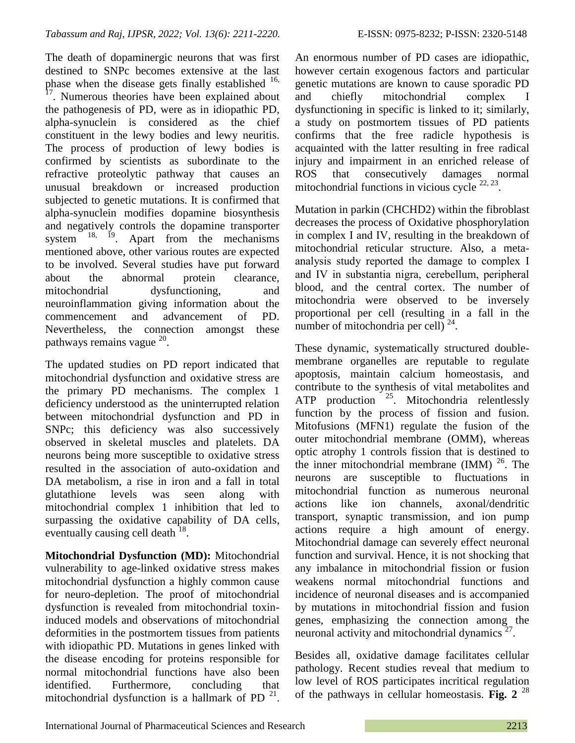The death of dopaminergic neurons that was first destined to SNPc becomes extensive at the last phase when the disease gets finally established  $^{16}$ , <sup>17</sup>. Numerous theories have been explained about the pathogenesis of PD, were as in idiopathic PD, alpha-synuclein is considered as the chief constituent in the lewy bodies and lewy neuritis. The process of production of lewy bodies is confirmed by scientists as subordinate to the refractive proteolytic pathway that causes an unusual breakdown or increased production subjected to genetic mutations. It is confirmed that alpha-synuclein modifies dopamine biosynthesis and negatively controls the dopamine transporter system  $18$ ,  $19$ . Apart from the mechanisms mentioned above, other various routes are expected to be involved. Several studies have put forward about the abnormal protein clearance, mitochondrial dysfunctioning, and neuroinflammation giving information about the commencement and advancement of PD. Nevertheless, the connection amongst these pathways remains vague <sup>20</sup>.

The updated studies on PD report indicated that mitochondrial dysfunction and oxidative stress are the primary PD mechanisms. The complex 1 deficiency understood as the uninterrupted relation between mitochondrial dysfunction and PD in SNPc; this deficiency was also successively observed in skeletal muscles and platelets. DA neurons being more susceptible to oxidative stress resulted in the association of auto-oxidation and DA metabolism, a rise in iron and a fall in total glutathione levels was seen along with mitochondrial complex 1 inhibition that led to surpassing the oxidative capability of DA cells, eventually causing cell death  $^{18}$ .

**Mitochondrial Dysfunction (MD):** Mitochondrial vulnerability to age-linked oxidative stress makes mitochondrial dysfunction a highly common cause for neuro-depletion. The proof of mitochondrial dysfunction is revealed from mitochondrial toxininduced models and observations of mitochondrial deformities in the postmortem tissues from patients with idiopathic PD. Mutations in genes linked with the disease encoding for proteins responsible for normal mitochondrial functions have also been identified. Furthermore, concluding that mitochondrial dysfunction is a hallmark of PD $^{21}$ .

An enormous number of PD cases are idiopathic, however certain exogenous factors and particular genetic mutations are known to cause sporadic PD and chiefly mitochondrial complex Ⅰ dysfunctioning in specific is linked to it; similarly, a study on postmortem tissues of PD patients confirms that the free radicle hypothesis is acquainted with the latter resulting in free radical injury and impairment in an enriched release of ROS that consecutively damages normal mitochondrial functions in vicious cycle  $22, 23$ .

Mutation in parkin (CHCHD2) within the fibroblast decreases the process of Oxidative phosphorylation in complex Ⅰ and Ⅳ, resulting in the breakdown of mitochondrial reticular structure. Also, a metaanalysis study reported the damage to complex Ⅰ and Ⅳ in substantia nigra, cerebellum, peripheral blood, and the central cortex. The number of mitochondria were observed to be inversely proportional per cell (resulting in a fall in the number of mitochondria per cell)  $^{24}$ .

These dynamic, systematically structured doublemembrane organelles are reputable to regulate apoptosis, maintain calcium homeostasis, and contribute to the synthesis of vital metabolites and  $ATP$  production  $^{25}$ . Mitochondria relentlessly function by the process of fission and fusion. Mitofusions (MFN1) regulate the fusion of the outer mitochondrial membrane (OMM), whereas optic atrophy 1 controls fission that is destined to the inner mitochondrial membrane  $(MM)^{26}$ . The neurons are susceptible to fluctuations in mitochondrial function as numerous neuronal actions like ion channels, axonal/dendritic transport, synaptic transmission, and ion pump actions require a high amount of energy. Mitochondrial damage can severely effect neuronal function and survival. Hence, it is not shocking that any imbalance in mitochondrial fission or fusion weakens normal mitochondrial functions and incidence of neuronal diseases and is accompanied by mutations in mitochondrial fission and fusion genes, emphasizing the connection among the neuronal activity and mitochondrial dynamics $27$ .

Besides all, oxidative damage facilitates cellular pathology. Recent studies reveal that medium to low level of ROS participates incritical regulation of the pathways in cellular homeostasis. **Fig. 2** 28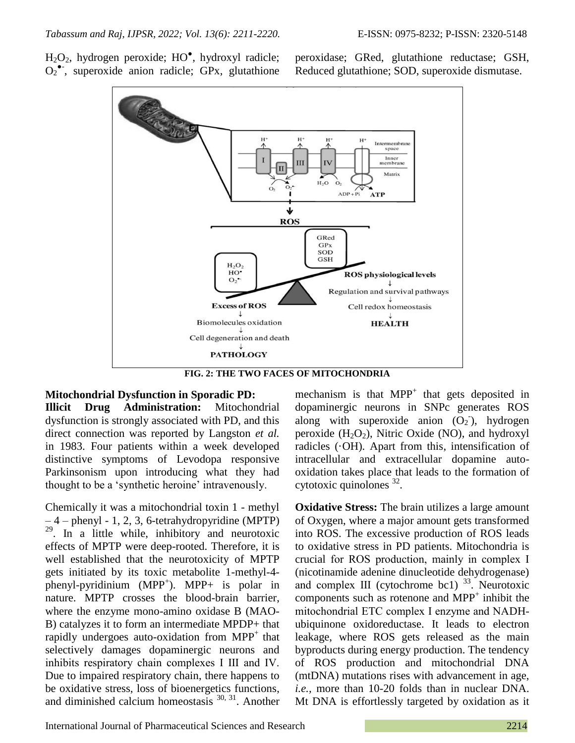H2O2, hydrogen peroxide; HO● , hydroxyl radicle; O<sub>2</sub><sup>•</sup>, superoxide anion radicle; GPx, glutathione

peroxidase; GRed, glutathione reductase; GSH, Reduced glutathione; SOD, superoxide dismutase.



**FIG. 2: THE TWO FACES OF MITOCHONDRIA**

## **Mitochondrial Dysfunction in Sporadic PD:**

**Illicit Drug Administration:** Mitochondrial dysfunction is strongly associated with PD, and this direct connection was reported by Langston *et al.* in 1983. Four patients within a week developed distinctive symptoms of Levodopa responsive Parkinsonism upon introducing what they had thought to be a 'synthetic heroine' intravenously.

Chemically it was a mitochondrial toxin 1 - methyl  $-4$  – phenyl - 1, 2, 3, 6-tetrahydropyridine (MPTP) 29 . In a little while, inhibitory and neurotoxic effects of MPTP were deep-rooted. Therefore, it is well established that the neurotoxicity of MPTP gets initiated by its toxic metabolite 1-methyl-4 phenyl-pyridinium (MPP<sup>+</sup> ). MPP+ is polar in nature. MPTP crosses the blood-brain barrier, where the enzyme mono-amino oxidase B (MAO-B) catalyzes it to form an intermediate MPDP+ that rapidly undergoes auto-oxidation from MPP<sup>+</sup> that selectively damages dopaminergic neurons and inhibits respiratory chain complexes Ⅰ Ⅲ and Ⅳ. Due to impaired respiratory chain, there happens to be oxidative stress, loss of bioenergetics functions, and diminished calcium homeostasis  $30, 31$ . Another

mechanism is that  $MPP^+$  that gets deposited in dopaminergic neurons in SNPc generates ROS along with superoxide anion  $(O_2)$ , hydrogen peroxide  $(H_2O_2)$ , Nitric Oxide (NO), and hydroxyl radicles (·OH). Apart from this, intensification of intracellular and extracellular dopamine autooxidation takes place that leads to the formation of cytotoxic quinolones  $32$ .

**Oxidative Stress:** The brain utilizes a large amount of Oxygen, where a major amount gets transformed into ROS. The excessive production of ROS leads to oxidative stress in PD patients. Mitochondria is crucial for ROS production, mainly in complex Ⅰ (nicotinamide adenine dinucleotide dehydrogenase) and complex III (cytochrome bc1)<sup>33</sup>. Neurotoxic components such as rotenone and  $MPP<sup>+</sup>$  inhibit the mitochondrial ETC complex Ⅰ enzyme and NADHubiquinone oxidoreductase. It leads to electron leakage, where ROS gets released as the main byproducts during energy production. The tendency of ROS production and mitochondrial DNA (mtDNA) mutations rises with advancement in age, *i.e.,* more than 10-20 folds than in nuclear DNA. Mt DNA is effortlessly targeted by oxidation as it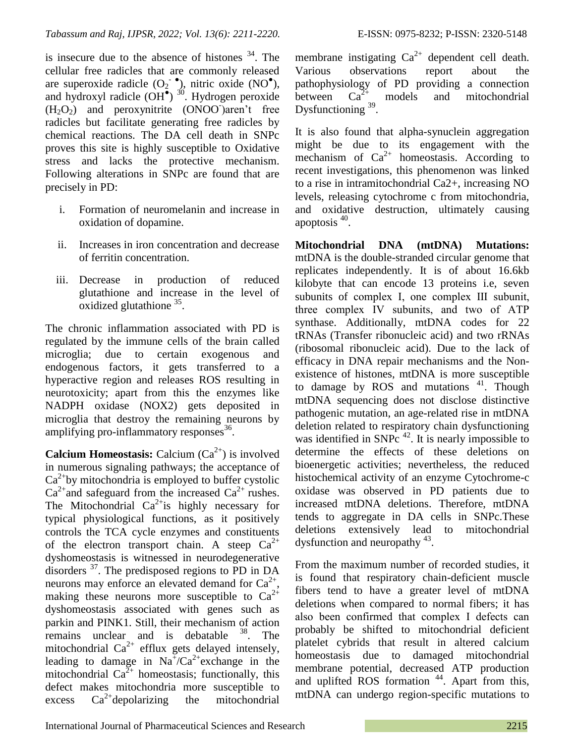is insecure due to the absence of histones  $34$ . The cellular free radicles that are commonly released are superoxide radicle  $(O_2^{\bullet})$ , nitric oxide (NO<sup>o</sup>), and hydroxyl radicle  $(OH^{\bullet})$ <sup>30</sup>. Hydrogen peroxide  $(H<sub>2</sub>O<sub>2</sub>)$  and peroxynitrite  $(ONOO<sub>1</sub>)$  aren't free radicles but facilitate generating free radicles by chemical reactions. The DA cell death in SNPc proves this site is highly susceptible to Oxidative stress and lacks the protective mechanism. Following alterations in SNPc are found that are precisely in PD:

- i. Formation of neuromelanin and increase in oxidation of dopamine.
- ii. Increases in iron concentration and decrease of ferritin concentration.
- iii. Decrease in production of reduced glutathione and increase in the level of  $\alpha$ xidized glutathione  $35$ .

The chronic inflammation associated with PD is regulated by the immune cells of the brain called microglia; due to certain exogenous and endogenous factors, it gets transferred to a hyperactive region and releases ROS resulting in neurotoxicity; apart from this the enzymes like NADPH oxidase (NOX2) gets deposited in microglia that destroy the remaining neurons by amplifying pro-inflammatory responses<sup>36</sup>.

**Calcium Homeostasis:** Calcium  $(Ca^{2+})$  is involved in numerous signaling pathways; the acceptance of  $Ca<sup>2+</sup>$ by mitochondria is employed to buffer cystolic  $Ca^{2+}$  and safeguard from the increased  $Ca^{2+}$  rushes. The Mitochondrial  $Ca^{2+}$  is highly necessary for typical physiological functions, as it positively controls the TCA cycle enzymes and constituents of the electron transport chain. A steep  $Ca^{2+}$ dyshomeostasis is witnessed in neurodegenerative disorders <sup>37</sup>. The predisposed regions to PD in DA neurons may enforce an elevated demand for  $Ca^{2+}$ , making these neurons more susceptible to  $Ca^{2+}$ dyshomeostasis associated with genes such as parkin and PINK1. Still, their mechanism of action remains unclear and is debatable <sup>38</sup>. The mitochondrial  $Ca^{2+}$  efflux gets delayed intensely, leading to damage in  $Na^{\dagger}/Ca^{2+}$  exchange in the mitochondrial  $Ca^{2+}$  homeostasis; functionally, this defect makes mitochondria more susceptible to excess  $Ca^{2+}$ depolarizing the mitochondrial membrane instigating  $Ca^{2+}$  dependent cell death. Various observations report about the pathophysiology of PD providing a connection between  $Ca^{2+}$  models and mitochondrial Dysfunctioning <sup>39</sup>.

It is also found that alpha-synuclein aggregation might be due to its engagement with the mechanism of  $Ca^{2+}$  homeostasis. According to recent investigations, this phenomenon was linked to a rise in intramitochondrial Ca2+, increasing NO levels, releasing cytochrome c from mitochondria, and oxidative destruction, ultimately causing apoptosis<sup>40</sup>.

**Mitochondrial DNA (mtDNA) Mutations:** mtDNA is the double-stranded circular genome that replicates independently. It is of about 16.6kb kilobyte that can encode 13 proteins i.e, seven subunits of complex Ⅰ, one complex Ⅲ subunit, three complex Ⅳ subunits, and two of ATP synthase. Additionally, mtDNA codes for 22 tRNAs (Transfer ribonucleic acid) and two rRNAs (ribosomal ribonucleic acid). Due to the lack of efficacy in DNA repair mechanisms and the Nonexistence of histones, mtDNA is more susceptible to damage by  $ROS$  and mutations  $41$ . Though mtDNA sequencing does not disclose distinctive pathogenic mutation, an age-related rise in mtDNA deletion related to respiratory chain dysfunctioning was identified in SNP $c<sup>42</sup>$ . It is nearly impossible to determine the effects of these deletions on bioenergetic activities; nevertheless, the reduced histochemical activity of an enzyme Cytochrome-c oxidase was observed in PD patients due to increased mtDNA deletions. Therefore, mtDNA tends to aggregate in DA cells in SNPc.These deletions extensively lead to mitochondrial dysfunction and neuropathy <sup>43</sup>.

From the maximum number of recorded studies, it is found that respiratory chain-deficient muscle fibers tend to have a greater level of mtDNA deletions when compared to normal fibers; it has also been confirmed that complex Ⅰ defects can probably be shifted to mitochondrial deficient platelet cybrids that result in altered calcium homeostasis due to damaged mitochondrial membrane potential, decreased ATP production and uplifted ROS formation<sup>44</sup>. Apart from this, mtDNA can undergo region-specific mutations to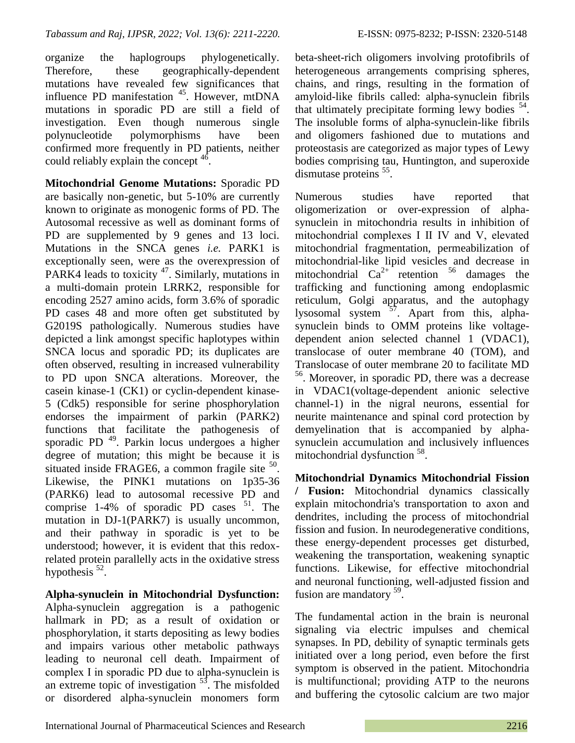organize the haplogroups phylogenetically. Therefore, these geographically-dependent mutations have revealed few significances that influence PD manifestation <sup>45</sup>. However, mtDNA mutations in sporadic PD are still a field of investigation. Even though numerous single polynucleotide polymorphisms have been confirmed more frequently in PD patients, neither could reliably explain the concept  $46$ .

**Mitochondrial Genome Mutations:** Sporadic PD are basically non-genetic, but 5-10% are currently known to originate as monogenic forms of PD. The Autosomal recessive as well as dominant forms of PD are supplemented by 9 genes and 13 loci. Mutations in the SNCA genes *i.e.* PARK1 is exceptionally seen, were as the overexpression of PARK4 leads to toxicity  $47$ . Similarly, mutations in a multi-domain protein LRRK2, responsible for encoding 2527 amino acids, form 3.6% of sporadic PD cases 48 and more often get substituted by G2019S pathologically. Numerous studies have depicted a link amongst specific haplotypes within SNCA locus and sporadic PD; its duplicates are often observed, resulting in increased vulnerability to PD upon SNCA alterations. Moreover, the casein kinase-1 (CK1) or cyclin-dependent kinase-5 (Cdk5) responsible for serine phosphorylation endorses the impairment of parkin (PARK2) functions that facilitate the pathogenesis of sporadic PD<sup>49</sup>. Parkin locus undergoes a higher degree of mutation; this might be because it is situated inside FRAGE6, a common fragile site  $50$ . Likewise, the PINK1 mutations on 1p35-36 (PARK6) lead to autosomal recessive PD and comprise  $1-4%$  of sporadic PD cases  $51$ . The mutation in DJ-1(PARK7) is usually uncommon, and their pathway in sporadic is yet to be understood; however, it is evident that this redoxrelated protein parallelly acts in the oxidative stress hypothesis  $52$ .

**Alpha-synuclein in Mitochondrial Dysfunction:** Alpha-synuclein aggregation is a pathogenic hallmark in PD; as a result of oxidation or phosphorylation, it starts depositing as lewy bodies and impairs various other metabolic pathways leading to neuronal cell death. Impairment of complex Ⅰ in sporadic PD due to alpha-synuclein is an extreme topic of investigation  $5<sup>3</sup>$ . The misfolded or disordered alpha-synuclein monomers form beta-sheet-rich oligomers involving protofibrils of heterogeneous arrangements comprising spheres, chains, and rings, resulting in the formation of amyloid-like fibrils called: alpha-synuclein fibrils that ultimately precipitate forming lewy bodies <sup>54</sup>. The insoluble forms of alpha-synuclein-like fibrils and oligomers fashioned due to mutations and proteostasis are categorized as major types of Lewy bodies comprising tau, Huntington, and superoxide dismutase proteins <sup>55</sup>.

Numerous studies have reported that oligomerization or over-expression of alphasynuclein in mitochondria results in inhibition of mitochondrial complexes Ⅰ Ⅱ Ⅳ and Ⅴ, elevated mitochondrial fragmentation, permeabilization of mitochondrial-like lipid vesicles and decrease in mitochondrial  $Ca^{2+}$  retention <sup>56</sup> damages the trafficking and functioning among endoplasmic reticulum, Golgi apparatus, and the autophagy lysosomal system <sup>57</sup>. Apart from this, alphasynuclein binds to OMM proteins like voltagedependent anion selected channel 1 (VDAC1), translocase of outer membrane 40 (TOM), and Translocase of outer membrane 20 to facilitate MD 56 . Moreover, in sporadic PD, there was a decrease in VDAC1(voltage-dependent anionic selective channel-1) in the nigral neurons, essential for neurite maintenance and spinal cord protection by demyelination that is accompanied by alphasynuclein accumulation and inclusively influences mitochondrial dysfunction<sup>58</sup>.

**Mitochondrial Dynamics Mitochondrial Fission / Fusion:** Mitochondrial dynamics classically explain mitochondria's transportation to axon and dendrites, including the process of mitochondrial fission and fusion. In neurodegenerative conditions, these energy-dependent processes get disturbed, weakening the transportation, weakening synaptic functions. Likewise, for effective mitochondrial and neuronal functioning, well-adjusted fission and fusion are mandatory <sup>59</sup>.

The fundamental action in the brain is neuronal signaling via electric impulses and chemical synapses. In PD, debility of synaptic terminals gets initiated over a long period, even before the first symptom is observed in the patient. Mitochondria is multifunctional; providing ATP to the neurons and buffering the cytosolic calcium are two major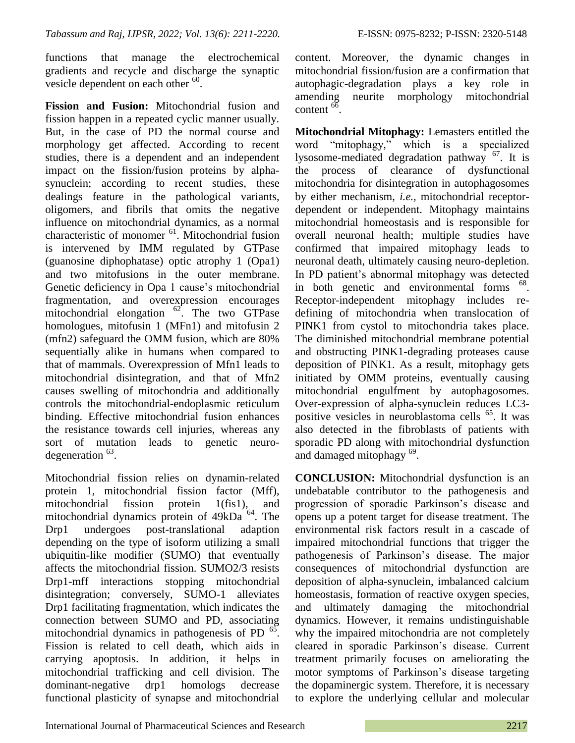functions that manage the electrochemical gradients and recycle and discharge the synaptic vesicle dependent on each other  $60$ .

**Fission and Fusion:** Mitochondrial fusion and fission happen in a repeated cyclic manner usually. But, in the case of PD the normal course and morphology get affected. According to recent studies, there is a dependent and an independent impact on the fission/fusion proteins by alphasynuclein; according to recent studies, these dealings feature in the pathological variants, oligomers, and fibrils that omits the negative influence on mitochondrial dynamics, as a normal characteristic of monomer <sup>61</sup>. Mitochondrial fusion is intervened by IMM regulated by GTPase (guanosine diphophatase) optic atrophy 1 (Opa1) and two mitofusions in the outer membrane. Genetic deficiency in Opa 1 cause's mitochondrial fragmentation, and overexpression encourages mitochondrial elongation <sup>62</sup>. The two GTPase homologues, mitofusin 1 (MFn1) and mitofusin 2 (mfn2) safeguard the OMM fusion, which are 80% sequentially alike in humans when compared to that of mammals. Overexpression of Mfn1 leads to mitochondrial disintegration, and that of Mfn2 causes swelling of mitochondria and additionally controls the mitochondrial-endoplasmic reticulum binding. Effective mitochondrial fusion enhances the resistance towards cell injuries, whereas any sort of mutation leads to genetic neurodegeneration  $^{63}$ .

Mitochondrial fission relies on dynamin-related protein 1, mitochondrial fission factor (Mff), mitochondrial fission protein 1(fis1), and mitochondrial dynamics protein of 49kDa<sup>64</sup>. The Drp1 undergoes post-translational adaption depending on the type of isoform utilizing a small ubiquitin-like modifier (SUMO) that eventually affects the mitochondrial fission. SUMO2/3 resists Drp1-mff interactions stopping mitochondrial disintegration; conversely, SUMO-1 alleviates Drp1 facilitating fragmentation, which indicates the connection between SUMO and PD, associating mitochondrial dynamics in pathogenesis of PD  $^{65}$ . Fission is related to cell death, which aids in carrying apoptosis. In addition, it helps in mitochondrial trafficking and cell division. The dominant-negative drp1 homologs decrease functional plasticity of synapse and mitochondrial

content. Moreover, the dynamic changes in mitochondrial fission/fusion are a confirmation that autophagic-degradation plays a key role in amending neurite morphology mitochondrial  $\cot \theta$ .

**Mitochondrial Mitophagy:** Lemasters entitled the word "mitophagy," which is a specialized lysosome-mediated degradation pathway  $^{67}$ . It is the process of clearance of dysfunctional mitochondria for disintegration in autophagosomes by either mechanism, *i.e.,* mitochondrial receptordependent or independent. Mitophagy maintains mitochondrial homeostasis and is responsible for overall neuronal health; multiple studies have confirmed that impaired mitophagy leads to neuronal death, ultimately causing neuro-depletion. In PD patient"s abnormal mitophagy was detected in both genetic and environmental forms <sup>68</sup>. Receptor-independent mitophagy includes redefining of mitochondria when translocation of PINK1 from cystol to mitochondria takes place. The diminished mitochondrial membrane potential and obstructing PINK1-degrading proteases cause deposition of PINK1. As a result, mitophagy gets initiated by OMM proteins, eventually causing mitochondrial engulfment by autophagosomes. Over-expression of alpha-synuclein reduces LC3 positive vesicles in neuroblastoma cells <sup>65</sup>. It was also detected in the fibroblasts of patients with sporadic PD along with mitochondrial dysfunction and damaged mitophagy<sup>69</sup>.

**CONCLUSION:** Mitochondrial dysfunction is an undebatable contributor to the pathogenesis and progression of sporadic Parkinson"s disease and opens up a potent target for disease treatment. The environmental risk factors result in a cascade of impaired mitochondrial functions that trigger the pathogenesis of Parkinson"s disease. The major consequences of mitochondrial dysfunction are deposition of alpha-synuclein, imbalanced calcium homeostasis, formation of reactive oxygen species, and ultimately damaging the mitochondrial dynamics. However, it remains undistinguishable why the impaired mitochondria are not completely cleared in sporadic Parkinson"s disease. Current treatment primarily focuses on ameliorating the motor symptoms of Parkinson"s disease targeting the dopaminergic system. Therefore, it is necessary to explore the underlying cellular and molecular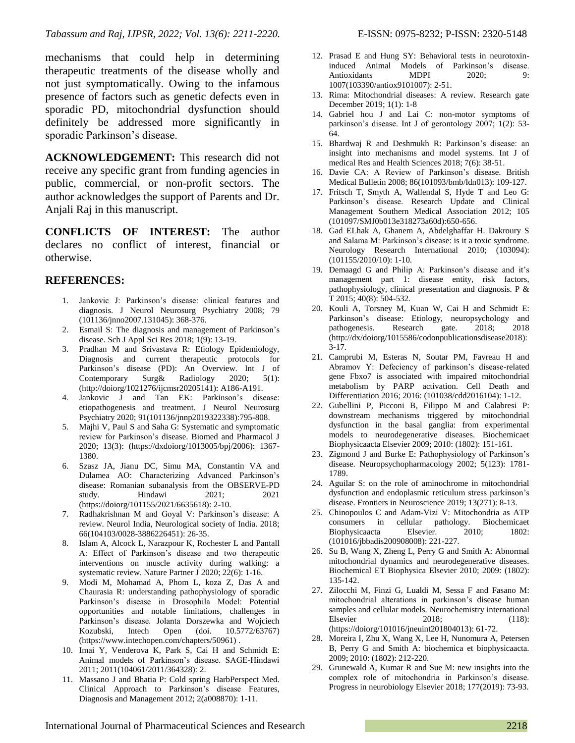mechanisms that could help in determining therapeutic treatments of the disease wholly and not just symptomatically. Owing to the infamous presence of factors such as genetic defects even in sporadic PD, mitochondrial dysfunction should definitely be addressed more significantly in sporadic Parkinson's disease.

**ACKNOWLEDGEMENT:** This research did not receive any specific grant from funding agencies in public, commercial, or non-profit sectors. The author acknowledges the support of Parents and Dr. Anjali Raj in this manuscript.

**CONFLICTS OF INTEREST:** The author declares no conflict of interest, financial or otherwise.

#### **REFERENCES:**

- 1. Jankovic J: Parkinson"s disease: clinical features and diagnosis. J Neurol Neurosurg Psychiatry 2008; 79 (101136/jnno2007.131045): 368-376.
- 2. Esmail S: The diagnosis and management of Parkinson"s disease. Sch J Appl Sci Res 2018; 1(9): 13-19.
- 3. Pradhan M and Srivastava R: Etiology Epidemiology, Diagnosis and current therapeutic protocols for Parkinson"s disease (PD): An Overview. Int J of Contemporary Surg& Radiology 2020; 5(1): (http://doiorg/1021276/ijcmsr20205141): A186-A191.
- 4. Jankovic J and Tan EK: Parkinson"s disease: etiopathogenesis and treatment. J Neurol Neurosurg Psychiatry 2020; 91(101136/jnnp2019322338):795-808.
- 5. Majhi V, Paul S and Saha G: Systematic and symptomatic review for Parkinson"s disease. Biomed and Pharmacol J 2020; 13(3): (https://dxdoiorg/1013005/bpj/2006): 1367- 1380.
- 6. Szasz JA, Jianu DC, Simu MA, Constantin VA and Dulamea AO: Characterizing Advanced Parkinson"s disease: Romanian subanalysis from the OBSERVE-PD study. Hindawi 2021; 2021 (https://doiorg/101155/2021/6635618): 2-10.
- 7. Radhakrishnan M and Goyal V: Parkinson's disease: A review. Neurol India, Neurological society of India. 2018; 66(104103/0028-3886226451): 26-35.
- 8. Islam A, Alcock L, Narazpour K, Rochester L and Pantall A: Effect of Parkinson"s disease and two therapeutic interventions on muscle activity during walking: a systematic review. Nature Partner J 2020; 22(6): 1-16.
- 9. Modi M, Mohamad A, Phom L, koza Z, Das A and Chaurasia R: understanding pathophysiology of sporadic Parkinson"s disease in Drosophila Model: Potential opportunities and notable limitations, challenges in Parkinson"s disease. Jolanta Dorszewka and Wojciech Kozubski, Intech Open (doi. 10.5772/63767) (https://www.intechopen.com/chapters/50961) .
- 10. Imai Y, Venderova K, Park S, Cai H and Schmidt E: Animal models of Parkinson"s disease. SAGE-Hindawi 2011; 2011(104061/2011/364328): 2.
- 11. Massano J and Bhatia P: Cold spring HarbPerspect Med. Clinical Approach to Parkinson"s disease Features, Diagnosis and Management 2012; 2(a008870): 1-11.
- 12. Prasad E and Hung SY: Behavioral tests in neurotoxininduced Animal Models of Parkinson"s disease. Antioxidants MDPI 2020; 9: 1007(103390/antiox9101007): 2-51.
- 13. Rima: Mitochondrial diseases: A review. Research gate December 2019; 1(1): 1-8
- 14. Gabriel hou J and Lai C: non-motor symptoms of parkinson's disease. Int J of gerontology 2007; 1(2): 53-64.
- 15. Bhardwaj R and Deshmukh R: Parkinson"s disease: an insight into mechanisms and model systems. Int J of medical Res and Health Sciences 2018; 7(6): 38-51.
- 16. Davie CA: A Review of Parkinson"s disease. British Medical Bulletin 2008; 86(101093/bmb/ldn013): 109-127.
- 17. Fritsch T, Smyth A, Wallendal S, Hyde T and Leo G: Parkinson"s disease. Research Update and Clinical Management Southern Medical Association 2012; 105 (101097/SMJ0b013e318273a60d):650-656.
- 18. Gad ELhak A, Ghanem A, Abdelghaffar H. Dakroury S and Salama M: Parkinson"s disease: is it a toxic syndrome. Neurology Research International 2010; (103094): (101155/2010/10): 1-10.
- 19. Demaagd G and Philip A: Parkinson's disease and it's management part 1: disease entity, risk factors, pathophysiology, clinical presentation and diagnosis. P & T 2015; 40(8): 504-532.
- 20. Kouli A, Torsney M, Kuan W, Cai H and Schmidt E: Parkinson's disease: Etiology, neuropsychology and pathogenesis. Research gate. 2018; 2018 (http://dx/doiorg/1015586/codonpublicationsdisease2018): 3-17.
- 21. Camprubi M, Esteras N, Soutar PM, Favreau H and Abramov Y: Defeciency of parkinson's disease-related gene Fbxo7 is associated with impaired mitochondrial metabolism by PARP activation. Cell Death and Differentiation 2016; 2016: (101038/cdd2016104): 1-12.
- 22. Gubellini P, Picconi B, Filippo M and Calabresi P: downstream mechanisms triggered by mitochondrial dysfunction in the basal ganglia: from experimental models to neurodegenerative diseases. Biochemicaet Biophysicaacta Elsevier 2009; 2010: (1802): 151-161.
- 23. Zigmond J and Burke E: Pathophysiology of Parkinson"s disease. Neuropsychopharmacology 2002; 5(123): 1781- 1789.
- 24. Aguilar S: on the role of aminochrome in mitochondrial dysfunction and endoplasmic reticulum stress parkinson"s disease. Frontiers in Neuroscience 2019; 13(271): 8-13.
- 25. Chinopoulos C and Adam-Vizi V: Mitochondria as ATP consumers in cellular pathology. Biochemicaet Biophysicaacta Elsevier. 2010; 1802: (101016/jbbadis200908008): 221-227.
- 26. Su B, Wang X, Zheng L, Perry G and Smith A: Abnormal mitochondrial dynamics and neurodegenerative diseases. Biochemical ET Biophysica Elsevier 2010; 2009: (1802): 135-142.
- 27. Zilocchi M, Finzi G, Lualdi M, Sessa F and Fasano M: mitochondrial alterations in parkinson"s disease human samples and cellular models. Neurochemistry international Elsevier 2018; (118): (https://doiorg/101016/jneuint201804013): 61-72.
- 28. Moreira I, Zhu X, Wang X, Lee H, Nunomura A, Petersen B, Perry G and Smith A: biochemica et biophysicaacta. 2009; 2010: (1802): 212-220.
- 29. Grunewald A, Kumar R and Sue M: new insights into the complex role of mitochondria in Parkinson"s disease. Progress in neurobiology Elsevier 2018; 177(2019): 73-93.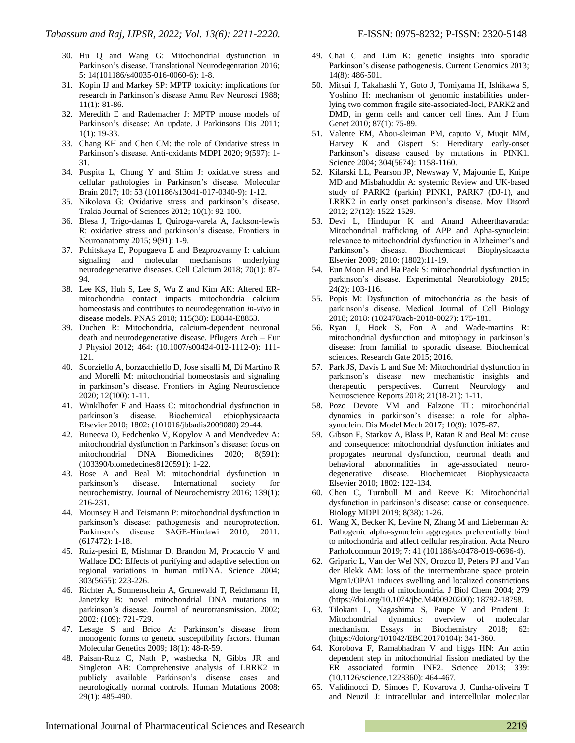- 30. Hu Q and Wang G: Mitochondrial dysfunction in Parkinson"s disease. Translational Neurodegenration 2016; 5: 14(101186/s40035-016-0060-6): 1-8.
- 31. Kopin IJ and Markey SP: MPTP toxicity: implications for research in Parkinson"s disease Annu Rev Neurosci 1988; 11(1): 81-86.
- 32. Meredith E and Rademacher J: MPTP mouse models of Parkinson"s disease: An update. J Parkinsons Dis 2011; 1(1): 19-33.
- 33. Chang KH and Chen CM: the role of Oxidative stress in Parkinson"s disease. Anti-oxidants MDPI 2020; 9(597): 1- 31.
- 34. Puspita L, Chung Y and Shim J: oxidative stress and cellular pathologies in Parkinson"s disease. Molecular Brain 2017; 10: 53 (101186/s13041-017-0340-9): 1-12.
- 35. Nikolova G: Oxidative stress and parkinson"s disease. Trakia Journal of Sciences 2012; 10(1): 92-100.
- 36. Blesa J, Trigo-damas I, Quiroga-varela A, Jackson-lewis R: oxidative stress and parkinson"s disease. Frontiers in Neuroanatomy 2015; 9(91): 1-9.
- 37. Pchitskaya E, Popugaeva E and Bezprozvanny I: calcium signaling and molecular mechanisms underlying neurodegenerative diseases. Cell Calcium 2018; 70(1): 87- 94.
- 38. Lee KS, Huh S, Lee S, Wu Z and Kim AK: Altered ERmitochondria contact impacts mitochondria calcium homeostasis and contributes to neurodegenration *in-vivo* in disease models. PNAS 2018; 115(38): E8844-E8853.
- 39. Duchen R: Mitochondria, calcium-dependent neuronal death and neurodegenerative disease. Pflugers Arch – Eur J Physiol 2012; 464: (10.1007/s00424-012-1112-0): 111- 121.
- 40. Scorziello A, borzacchiello D, Jose sisalli M, Di Martino R and Morelli M: mitochondrial homeostasis and signaling in parkinson"s disease. Frontiers in Aging Neuroscience 2020; 12(100): 1-11.
- 41. Winklhofer F and Haass C: mitochondrial dysfunction in parkinson"s disease. Biochemical etbiophysicaacta Elsevier 2010; 1802: (101016/jbbadis2009080) 29-44.
- 42. Buneeva O, Fedchenko V, Kopylov A and Mendvedev A: mitochondrial dysfunction in Parkinson"s disease: focus on mitochondrial DNA Biomedicines 2020; 8(591): (103390/biomedecines8120591): 1-22.
- 43. Bose A and Beal M: mitochondrial dysfunction in parkinson"s disease. International society for neurochemistry. Journal of Neurochemistry 2016; 139(1): 216-231.
- 44. Mounsey H and Teismann P: mitochondrial dysfunction in parkinson"s disease: pathogenesis and neuroprotection. Parkinson"s disease SAGE-Hindawi 2010; 2011: (617472): 1-18.
- 45. Ruiz-pesini E, Mishmar D, Brandon M, Procaccio V and Wallace DC: Effects of purifying and adaptive selection on regional variations in human mtDNA. Science 2004; 303(5655): 223-226.
- 46. Richter A, Sonnenschein A, Grunewald T, Reichmann H, Janetzky B: novel mitochondrial DNA mutations in parkinson"s disease. Journal of neurotransmission. 2002; 2002: (109): 721-729.
- 47. Lesage S and Brice A: Parkinson"s disease from monogenic forms to genetic susceptibility factors. Human Molecular Genetics 2009; 18(1): 48-R-59.
- 48. Paisan-Ruiz C, Nath P, washecka N, Gibbs JR and Singleton AB: Comprehensive analysis of LRRK2 in publicly available Parkinson"s disease cases and neurologically normal controls. Human Mutations 2008; 29(1): 485-490.
- 49. Chai C and Lim K: genetic insights into sporadic Parkinson's disease pathogenesis. Current Genomics 2013; 14(8): 486-501.
- 50. Mitsui J, Takahashi Y, Goto J, Tomiyama H, Ishikawa S, Yoshino H: mechanism of genomic instabilities underlying two common fragile site-associated-loci, PARK2 and DMD, in germ cells and cancer cell lines. Am J Hum Genet 2010; 87(1): 75-89.
- 51. Valente EM, Abou-sleiman PM, caputo V, Muqit MM, Harvey K and Gispert S: Hereditary early-onset Parkinson"s disease caused by mutations in PINK1. Science 2004; 304(5674): 1158-1160.
- 52. Kilarski LL, Pearson JP, Newsway V, Majounie E, Knipe MD and Misbahuddin A: systemic Review and UK-based study of PARK2 (parkin) PINK1, PARK7 (DJ-1), and LRRK2 in early onset parkinson"s disease. Mov Disord 2012; 27(12): 1522-1529.
- 53. Devi L, Hindupur K and Anand Atheerthavarada: Mitochondrial trafficking of APP and Apha-synuclein: relevance to mitochondrial dysfunction in Alzheimer"s and Parkinson"s disease. Biochemicaet Biophysicaacta Elsevier 2009; 2010: (1802):11-19.
- 54. Eun Moon H and Ha Paek S: mitochondrial dysfunction in parkinson"s disease. Experimental Neurobiology 2015; 24(2): 103-116.
- 55. Popis M: Dysfunction of mitochondria as the basis of parkinson"s disease. Medical Journal of Cell Biology 2018; 2018: (102478/acb-2018-0027): 175-181.
- 56. Ryan J, Hoek S, Fon A and Wade-martins R: mitochondrial dysfunction and mitophagy in parkinson"s disease: from familial to sporadic disease. Biochemical sciences. Research Gate 2015; 2016.
- 57. Park JS, Davis L and Sue M: Mitochondrial dysfunction in parkinson"s disease: new mechanistic insights and therapeutic perspectives. Current Neurology and Neuroscience Reports 2018; 21(18-21): 1-11.
- 58. Pozo Devote VM and Falzone TL: mitochondrial dynamics in parkinson"s disease: a role for alphasynuclein. Dis Model Mech 2017; 10(9): 1075-87.
- 59. Gibson E, Starkov A, Blass P, Ratan R and Beal M: cause and consequence: mitochondrial dysfunction initiates and propogates neuronal dysfunction, neuronal death and behavioral abnormalities in age-associated neurodegenerative disease. Biochemicaet Biophysicaacta Elsevier 2010; 1802: 122-134.
- 60. Chen C, Turnbull M and Reeve K: Mitochondrial dysfunction in parkinson"s disease: cause or consequence. Biology MDPI 2019; 8(38): 1-26.
- 61. Wang X, Becker K, Levine N, Zhang M and Lieberman A: Pathogenic alpha-synuclein aggregates preferentially bind to mitochondria and affect cellular respiration. Acta Neuro Parholcommun 2019; 7: 41 (101186/s40478-019-0696-4).
- 62. Griparic L, Van der Wel NN, Orozco IJ, Peters PJ and Van der Blekk AM: loss of the intermembrane space protein Mgm1/OPA1 induces swelling and localized constrictions along the length of mitochondria. J Biol Chem 2004; 279 (https://doi.org/10.1074/jbc.M400920200): 18792-18798.
- 63. Tilokani L, Nagashima S, Paupe V and Prudent J: Mitochondrial dynamics: overview of molecular mechanism. Essays in Biochemistry 2018; 62: (https://doiorg/101042/EBC20170104): 341-360.
- 64. Korobova F, Ramabhadran V and higgs HN: An actin dependent step in mitochondrial fission mediated by the ER associated formin INF2. Science 2013; 339: (10.1126/science.1228360): 464-467.
- 65. Validinocci D, Simoes F, Kovarova J, Cunha-oliveira T and Neuzil J: intracellular and intercellular molecular